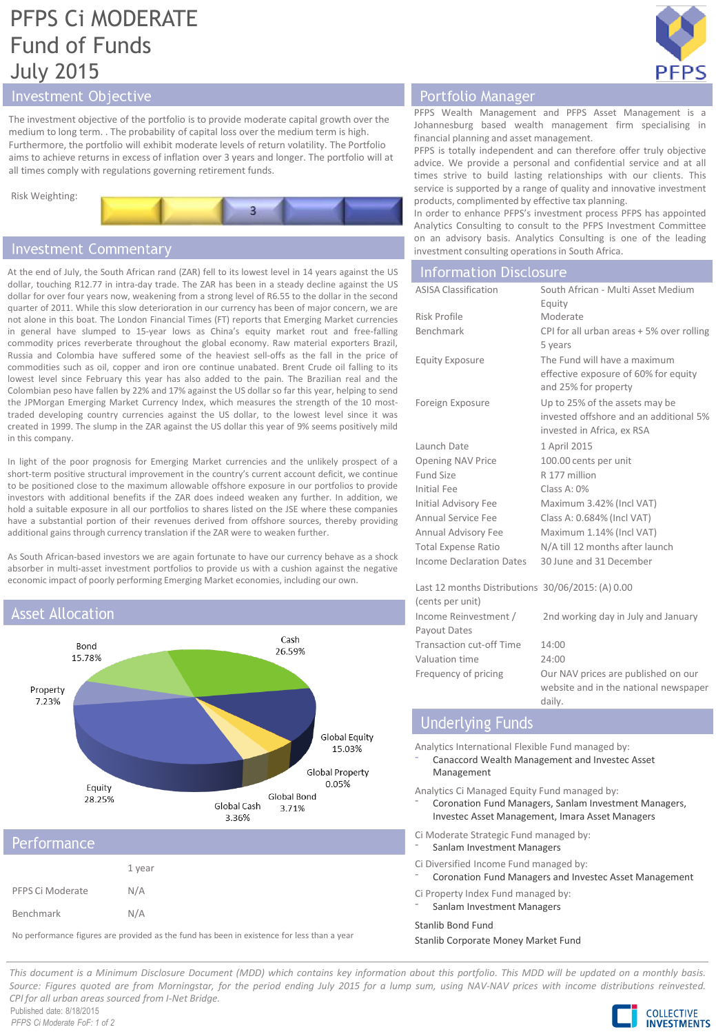# PFPS Ci MODERATE Fund of Funds July 2015



# Investment Objective

The investment objective of the portfolio is to provide moderate capital growth over the medium to long term. . The probability of capital loss over the medium term is high. Furthermore, the portfolio will exhibit moderate levels of return volatility. The Portfolio aims to achieve returns in excess of inflation over 3 years and longer. The portfolio will at all times comply with regulations governing retirement funds.



# **Investment Commentary**

At the end of July, the South African rand (ZAR) fell to its lowest level in 14 years against the US dollar, touching R12.77 in intra-day trade. The ZAR has been in a steady decline against the US dollar for over four years now, weakening from a strong level of R6.55 to the dollar in the second quarter of 2011. While this slow deterioration in our currency has been of major concern, we are not alone in this boat. The London Financial Times (FT) reports that Emerging Market currencies in general have slumped to 15-year lows as China's equity market rout and free-falling commodity prices reverberate throughout the global economy. Raw material exporters Brazil, Russia and Colombia have suffered some of the heaviest sell-offs as the fall in the price of commodities such as oil, copper and iron ore continue unabated. Brent Crude oil falling to its lowest level since February this year has also added to the pain. The Brazilian real and the Colombian peso have fallen by 22% and 17% against the US dollar so far this year, helping to send the JPMorgan Emerging Market Currency Index, which measures the strength of the 10 mosttraded developing country currencies against the US dollar, to the lowest level since it was created in 1999. The slump in the ZAR against the US dollar this year of 9% seems positively mild in this company.

In light of the poor prognosis for Emerging Market currencies and the unlikely prospect of a short-term positive structural improvement in the country's current account deficit, we continue to be positioned close to the maximum allowable offshore exposure in our portfolios to provide investors with additional benefits if the ZAR does indeed weaken any further. In addition, we hold a suitable exposure in all our portfolios to shares listed on the JSE where these companies have a substantial portion of their revenues derived from offshore sources, thereby providing additional gains through currency translation if the ZAR were to weaken further.

As South African-based investors we are again fortunate to have our currency behave as a shock absorber in multi-asset investment portfolios to provide us with a cushion against the negative economic impact of poorly performing Emerging Market economies, including our own.





# Performance

|                  | 1 year |
|------------------|--------|
| PFPS Ci Moderate | N/A    |
| Benchmark        | N/A    |

No performance figures are provided as the fund has been in existence for less than a year

# Portfolio Manager

PFPS Wealth Management and PFPS Asset Management is a Johannesburg based wealth management firm specialising in financial planning and asset management.

PFPS is totally independent and can therefore offer truly objective advice. We provide a personal and confidential service and at all times strive to build lasting relationships with our clients. This service is supported by a range of quality and innovative investment products, complimented by effective tax planning.

In order to enhance PFPS's investment process PFPS has appointed Analytics Consulting to consult to the PFPS Investment Committee on an advisory basis. Analytics Consulting is one of the leading investment consulting operations in South Africa.

| <b>Information Disclosure</b>                     |                                           |
|---------------------------------------------------|-------------------------------------------|
| <b>ASISA Classification</b>                       | South African - Multi Asset Medium        |
|                                                   | Equity                                    |
| Risk Profile                                      | Moderate                                  |
| Benchmark                                         | CPI for all urban areas + 5% over rolling |
|                                                   | 5 years                                   |
| <b>Equity Exposure</b>                            | The Fund will have a maximum              |
|                                                   | effective exposure of 60% for equity      |
|                                                   | and 25% for property                      |
| Foreign Exposure                                  | Up to 25% of the assets may be            |
|                                                   | invested offshore and an additional 5%    |
|                                                   | invested in Africa, ex RSA                |
| Launch Date                                       | 1 April 2015                              |
| <b>Opening NAV Price</b>                          | 100.00 cents per unit                     |
| <b>Fund Size</b>                                  | R 177 million                             |
| Initial Fee                                       | Class A: 0%                               |
| Initial Advisory Fee                              | Maximum 3.42% (Incl VAT)                  |
| Annual Service Fee                                | Class A: 0.684% (Incl VAT)                |
| Annual Advisory Fee                               | Maximum 1.14% (Incl VAT)                  |
| <b>Total Expense Ratio</b>                        | N/A till 12 months after launch           |
| Income Declaration Dates                          | 30 June and 31 December                   |
|                                                   |                                           |
| Last 12 months Distributions 30/06/2015: (A) 0.00 |                                           |
| (cents per unit)                                  |                                           |
| Income Reinvestment /                             | 2nd working day in July and January       |
| Payout Dates                                      |                                           |

Transaction cut-off Time 14:00 Valuation time 24:00 Frequency of pricing Our NAV prices are published on our website and in the national newspaper daily.

# **Underlying Funds**

Analytics International Flexible Fund managed by:

⁻ Canaccord Wealth Management and Investec Asset Management

Analytics Ci Managed Equity Fund managed by:

⁻ Coronation Fund Managers, Sanlam Investment Managers, Investec Asset Management, Imara Asset Managers

Ci Moderate Strategic Fund managed by:

- Sanlam Investment Managers
- Ci Diversified Income Fund managed by:
- ⁻ Coronation Fund Managers and Investec Asset Management

Ci Property Index Fund managed by: Sanlam Investment Managers

Stanlib Bond Fund

Stanlib Corporate Money Market Fund

This document is a Minimum Disclosure Document (MDD) which contains key information about this portfolio. This MDD will be updated on a monthly basis. Source: Figures quoted are from Morningstar, for the period ending July 2015 for a lump sum, using NAV-NAV prices with income distributions reinvested. *CPI for all urban areas sourced from I-Net Bridge.*

Published date: 8/18/2015 *PFPS Ci Moderate FoF: 1 of 2*